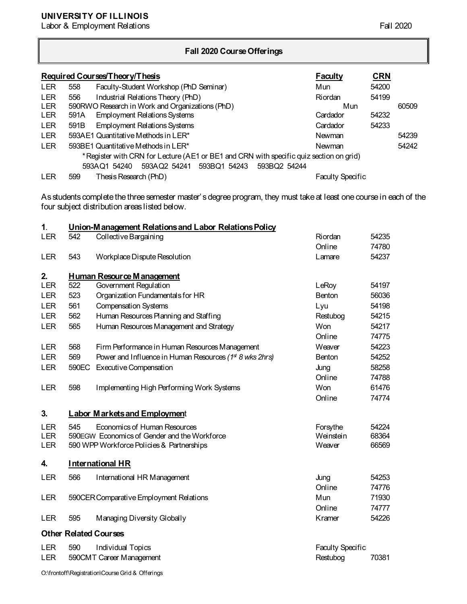## **UNIVERSITY OF ILLINOIS**

Labor & Employment Relations Fall 2020

## **Fall 2020 Course Offerings**

|            |                                                                                         | Required Courses/Theory/Thesis                            | <b>Faculty</b>          | CRN   |       |
|------------|-----------------------------------------------------------------------------------------|-----------------------------------------------------------|-------------------------|-------|-------|
| <b>LER</b> | 558                                                                                     | Faculty-Student Workshop (PhD Seminar)                    | Mun                     | 54200 |       |
| <b>LER</b> | 556                                                                                     | Industrial Relations Theory (PhD)                         | Riordan                 | 54199 |       |
| <b>LER</b> | 590RWO Research in Work and Organizations (PhD)                                         |                                                           | Mun                     |       | 60509 |
| <b>LER</b> | 591A                                                                                    | <b>Employment Relations Systems</b>                       | Cardador                | 54232 |       |
| <b>LER</b> | 591B                                                                                    | <b>Employment Relations Systems</b>                       | Cardador                | 54233 |       |
| <b>LER</b> |                                                                                         | 593AE1 Quantitative Methods in LER*                       | Newman                  |       | 54239 |
| <b>LER</b> |                                                                                         | 593BE1 Quantitative Methods in LER*                       | Newman                  |       | 54242 |
|            | * Register with CRN for Lecture (AE1 or BE1 and CRN with specific quiz section on grid) |                                                           |                         |       |       |
|            |                                                                                         | 593AQ2 54241 593BQ1 54243<br>593BQ2 54244<br>593AQ1 54240 |                         |       |       |
| <b>LER</b> | 599                                                                                     | Thesis Research (PhD)                                     | <b>Faculty Specific</b> |       |       |

As students complete the three semester master's degree program, they must take at least one course in each of the four subject distribution areas listed below.

| $\mathbf 1$ . |       | Union-Management Relations and Labor Relations Policy               |                   |       |
|---------------|-------|---------------------------------------------------------------------|-------------------|-------|
| <b>LER</b>    | 542   | Collective Bargaining                                               | Riordan           | 54235 |
|               |       |                                                                     | Online            | 74780 |
| <b>LER</b>    | 543   | Workplace Dispute Resolution                                        | Lamare            | 54237 |
| 2.            |       | <b>Human Resource Management</b>                                    |                   |       |
| <b>LER</b>    | 522   | Government Regulation                                               | LeRoy             | 54197 |
| <b>LER</b>    | 523   | Organization Fundamentals for HR                                    | <b>Benton</b>     | 56036 |
| <b>LER</b>    | 561   | <b>Compensation Systems</b>                                         | Lyu               | 54198 |
| <b>LER</b>    | 562   | Human Resources Planning and Staffing                               | Restubog          | 54215 |
| <b>LER</b>    | 565   | Human Resources Management and Strategy                             | Won               | 54217 |
|               |       |                                                                     | Online            | 74775 |
| <b>LER</b>    | 568   | Firm Performance in Human Resources Management                      | Weaver            | 54223 |
| <b>LER</b>    | 569   | Power and Influence in Human Resources (1 <sup>st</sup> 8 wks 2hrs) | <b>Benton</b>     | 54252 |
| <b>LER</b>    | 590EC | Executive Compensation                                              | Jung              | 58258 |
|               |       |                                                                     | Online            | 74788 |
| <b>LER</b>    | 598   | Implementing High Performing Work Systems                           | Won               | 61476 |
|               |       |                                                                     | Online            | 74774 |
| 3.            |       | <b>Labor Markets and Employment</b>                                 |                   |       |
| <b>LER</b>    | 545   | Economics of Human Resources                                        | Forsythe          | 54224 |
| <b>LER</b>    |       | 590EGW Economics of Gender and the Workforce                        | Weinstein         | 68364 |
| <b>LER</b>    |       | 590 WPP Workforce Policies & Partnerships                           | Weaver            | 66569 |
| 4.            |       | <b>International HR</b>                                             |                   |       |
| LER           | 566   | International HR Management                                         | Jung              | 54253 |
|               |       |                                                                     | Online            | 74776 |
| <b>LER</b>    |       | 590CER Comparative Employment Relations                             | Mun               | 71930 |
|               |       |                                                                     | Online            | 74777 |
| <b>LER</b>    | 595   | Managing Diversity Globally                                         | Kramer            | 54226 |
|               |       |                                                                     |                   |       |
|               |       | <b>Other Related Courses</b>                                        |                   |       |
| LER           | 590   | Individual Topics                                                   | Faculty Specific  |       |
| <b>LER</b>    |       | 590CMT Career Management                                            | 70381<br>Restubog |       |

O:\frontoff\Registration\Course Grid & Offerings